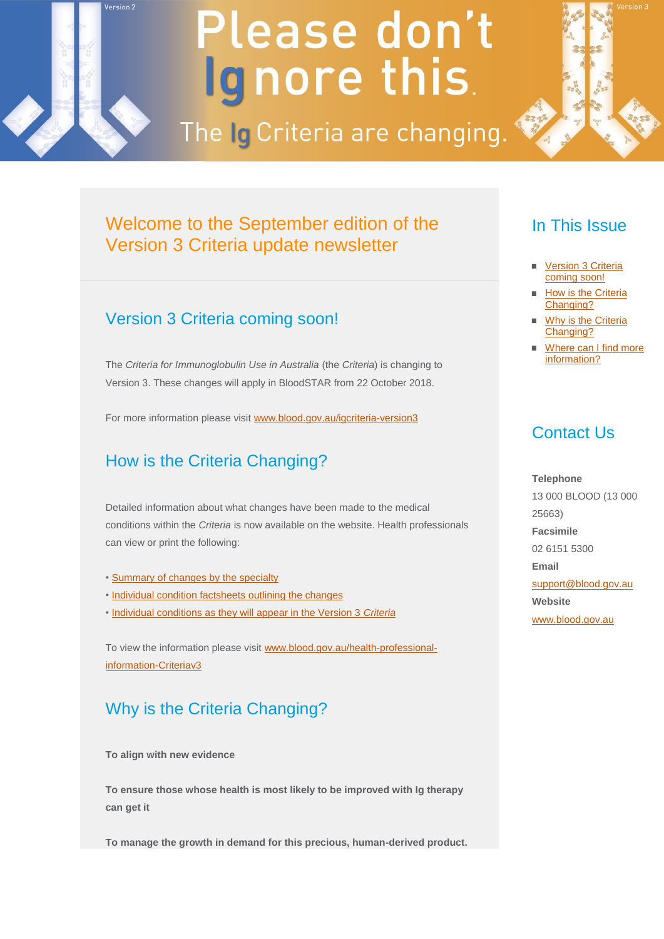# Please don't Ignore this.

The Ig Criteria are changing.



### Welcome to the September edition of the Version 3 Criteria update newsletter

#### Version 3 Criteria coming soon!

<span id="page-0-0"></span>Version 2

The *Criteria for Immunoglobulin Use in Australia* (the *Criteria*) is changing to Version 3. These changes will apply in BloodSTAR from 22 October 2018.

For more information please visi[t www.blood.gov.au/igcriteria-version3](http://email.synergymail.com.au/t/r-l-jjikwiy-urkjkyuihh-k/)

## How is the Criteria Changing?

Detailed information about what changes have been made to the medical conditions within the *Criteria* is now available on the website. Health professionals can view or print the following:

- • [Summary of changes by the specialty](http://email.synergymail.com.au/t/r-l-jjikwiy-urkjkyuihh-u/)
- • [Individual condition factsheets outlining the changes](http://email.synergymail.com.au/t/r-l-jjikwiy-urkjkyuihh-o/)
- • [Individual conditions as they will appear in the Version 3](http://email.synergymail.com.au/t/r-l-jjikwiy-urkjkyuihh-x/) *Criteria*

To view the information please visit [www.blood.gov.au/health-professional](http://email.synergymail.com.au/t/r-l-jjikwiy-urkjkyuihh-m/)[information-Criteriav3](http://email.synergymail.com.au/t/r-l-jjikwiy-urkjkyuihh-m/)

#### Why is the Criteria Changing?

**To align with new evidence**

**To ensure those whose health is most likely to be improved with Ig therapy can get it**

**To manage the growth in demand for this precious, human-derived product.**

#### In This Issue

- [Version 3 Criteria](#page-0-0)  [coming soon!](#page-0-0)
- **How is the Criteria** [Changing?](#page-0-0)
- [Why is the Criteria](#page-0-0)  [Changing?](#page-0-0)
- [Where can I find more](#page-1-0)  [information?](#page-1-0)

#### Contact Us

**Telephone** 13 000 BLOOD (13 000 25663) **Facsimile** 02 6151 5300 **Email** [support@blood.gov.au](mailto:support@blood.gov.au) **Website** [www.blood.gov.au](http://email.synergymail.com.au/t/r-l-jjikwiy-urkjkyuihh-q/)